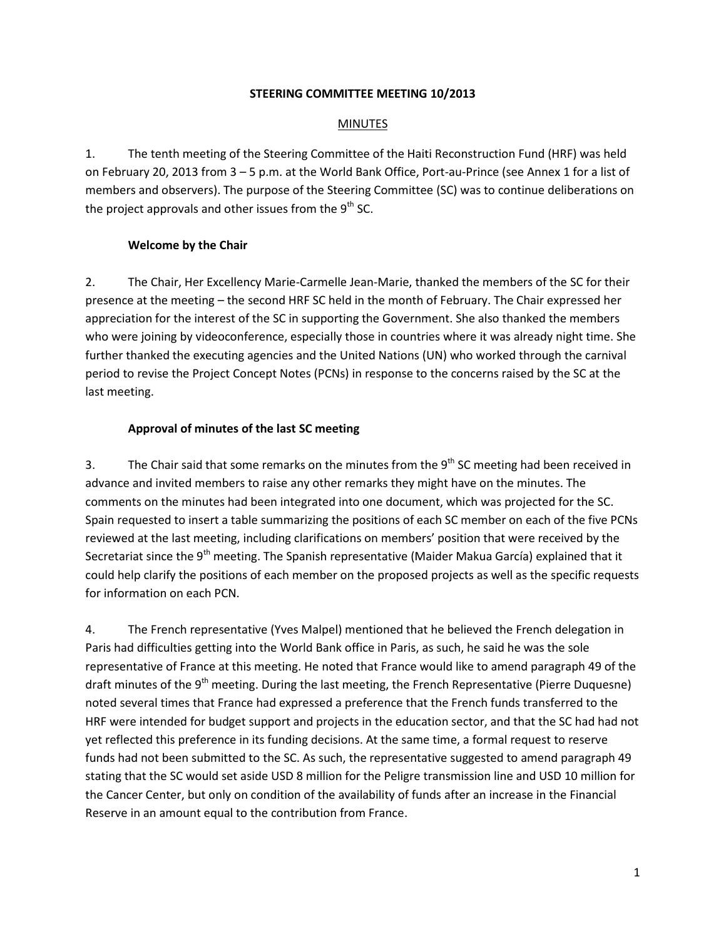### **STEERING COMMITTEE MEETING 10/2013**

## **MINUTES**

1. The tenth meeting of the Steering Committee of the Haiti Reconstruction Fund (HRF) was held on February 20, 2013 from 3 – 5 p.m. at the World Bank Office, Port-au-Prince (see Annex 1 for a list of members and observers). The purpose of the Steering Committee (SC) was to continue deliberations on the project approvals and other issues from the  $9<sup>th</sup>$  SC.

## **Welcome by the Chair**

2. The Chair, Her Excellency Marie-Carmelle Jean-Marie, thanked the members of the SC for their presence at the meeting – the second HRF SC held in the month of February. The Chair expressed her appreciation for the interest of the SC in supporting the Government. She also thanked the members who were joining by videoconference, especially those in countries where it was already night time. She further thanked the executing agencies and the United Nations (UN) who worked through the carnival period to revise the Project Concept Notes (PCNs) in response to the concerns raised by the SC at the last meeting.

## **Approval of minutes of the last SC meeting**

3. The Chair said that some remarks on the minutes from the  $9<sup>th</sup>$  SC meeting had been received in advance and invited members to raise any other remarks they might have on the minutes. The comments on the minutes had been integrated into one document, which was projected for the SC. Spain requested to insert a table summarizing the positions of each SC member on each of the five PCNs reviewed at the last meeting, including clarifications on members' position that were received by the Secretariat since the  $9<sup>th</sup>$  meeting. The Spanish representative (Maider Makua García) explained that it could help clarify the positions of each member on the proposed projects as well as the specific requests for information on each PCN.

4. The French representative (Yves Malpel) mentioned that he believed the French delegation in Paris had difficulties getting into the World Bank office in Paris, as such, he said he was the sole representative of France at this meeting. He noted that France would like to amend paragraph 49 of the draft minutes of the  $9<sup>th</sup>$  meeting. During the last meeting, the French Representative (Pierre Duquesne) noted several times that France had expressed a preference that the French funds transferred to the HRF were intended for budget support and projects in the education sector, and that the SC had had not yet reflected this preference in its funding decisions. At the same time, a formal request to reserve funds had not been submitted to the SC. As such, the representative suggested to amend paragraph 49 stating that the SC would set aside USD 8 million for the Peligre transmission line and USD 10 million for the Cancer Center, but only on condition of the availability of funds after an increase in the Financial Reserve in an amount equal to the contribution from France.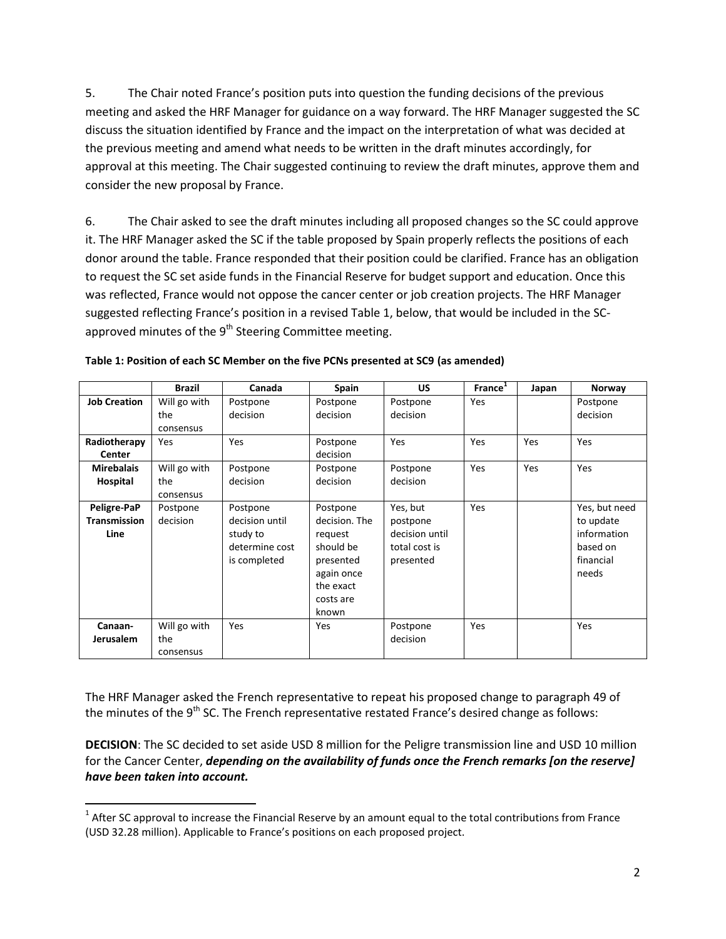5. The Chair noted France's position puts into question the funding decisions of the previous meeting and asked the HRF Manager for guidance on a way forward. The HRF Manager suggested the SC discuss the situation identified by France and the impact on the interpretation of what was decided at the previous meeting and amend what needs to be written in the draft minutes accordingly, for approval at this meeting. The Chair suggested continuing to review the draft minutes, approve them and consider the new proposal by France.

6. The Chair asked to see the draft minutes including all proposed changes so the SC could approve it. The HRF Manager asked the SC if the table proposed by Spain properly reflects the positions of each donor around the table. France responded that their position could be clarified. France has an obligation to request the SC set aside funds in the Financial Reserve for budget support and education. Once this was reflected, France would not oppose the cancer center or job creation projects. The HRF Manager suggested reflecting France's position in a revised Table 1, below, that would be included in the SCapproved minutes of the  $9<sup>th</sup>$  Steering Committee meeting.

|                     | <b>Brazil</b> | Canada         | Spain         | <b>US</b>      | France <sup>1</sup> | Japan | Norway        |
|---------------------|---------------|----------------|---------------|----------------|---------------------|-------|---------------|
| <b>Job Creation</b> | Will go with  | Postpone       | Postpone      | Postpone       | Yes                 |       | Postpone      |
|                     | the           | decision       | decision      | decision       |                     |       | decision      |
|                     | consensus     |                |               |                |                     |       |               |
| Radiotherapy        | Yes           | Yes            | Postpone      | Yes            | Yes                 | Yes   | Yes           |
| Center              |               |                | decision      |                |                     |       |               |
| <b>Mirebalais</b>   | Will go with  | Postpone       | Postpone      | Postpone       | Yes                 | Yes   | Yes           |
| Hospital            | the           | decision       | decision      | decision       |                     |       |               |
|                     | consensus     |                |               |                |                     |       |               |
| Peligre-PaP         | Postpone      | Postpone       | Postpone      | Yes, but       | Yes                 |       | Yes, but need |
| <b>Transmission</b> | decision      | decision until | decision. The | postpone       |                     |       | to update     |
| Line                |               | study to       | request       | decision until |                     |       | information   |
|                     |               | determine cost | should be     | total cost is  |                     |       | based on      |
|                     |               | is completed   | presented     | presented      |                     |       | financial     |
|                     |               |                | again once    |                |                     |       | needs         |
|                     |               |                | the exact     |                |                     |       |               |
|                     |               |                | costs are     |                |                     |       |               |
|                     |               |                | known         |                |                     |       |               |
| Canaan-             | Will go with  | Yes            | Yes           | Postpone       | Yes                 |       | Yes           |
| <b>Jerusalem</b>    | the           |                |               | decision       |                     |       |               |
|                     | consensus     |                |               |                |                     |       |               |

| Table 1: Position of each SC Member on the five PCNs presented at SC9 (as amended) |  |  |
|------------------------------------------------------------------------------------|--|--|
|                                                                                    |  |  |

The HRF Manager asked the French representative to repeat his proposed change to paragraph 49 of the minutes of the  $9<sup>th</sup>$  SC. The French representative restated France's desired change as follows:

**DECISION**: The SC decided to set aside USD 8 million for the Peligre transmission line and USD 10 million for the Cancer Center, *depending on the availability of funds once the French remarks [on the reserve] have been taken into account.*

 $\overline{\phantom{a}}$ 

 $1$  After SC approval to increase the Financial Reserve by an amount equal to the total contributions from France (USD 32.28 million). Applicable to France's positions on each proposed project.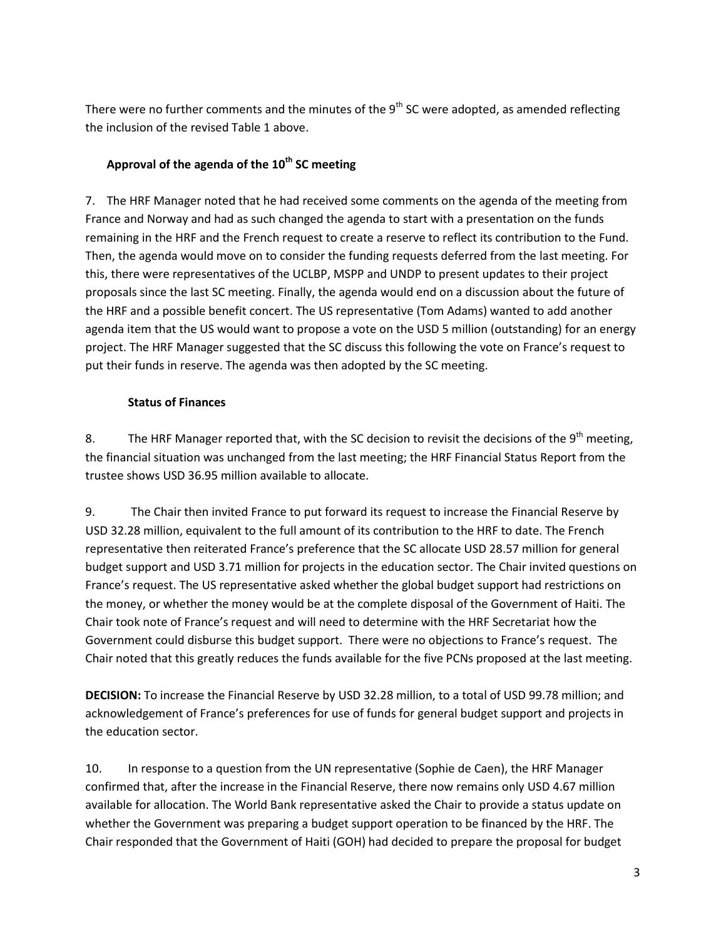There were no further comments and the minutes of the  $9<sup>th</sup>$  SC were adopted, as amended reflecting the inclusion of the revised Table 1 above.

# **Approval of the agenda of the 10th SC meeting**

7. The HRF Manager noted that he had received some comments on the agenda of the meeting from France and Norway and had as such changed the agenda to start with a presentation on the funds remaining in the HRF and the French request to create a reserve to reflect its contribution to the Fund. Then, the agenda would move on to consider the funding requests deferred from the last meeting. For this, there were representatives of the UCLBP, MSPP and UNDP to present updates to their project proposals since the last SC meeting. Finally, the agenda would end on a discussion about the future of the HRF and a possible benefit concert. The US representative (Tom Adams) wanted to add another agenda item that the US would want to propose a vote on the USD 5 million (outstanding) for an energy project. The HRF Manager suggested that the SC discuss this following the vote on France's request to put their funds in reserve. The agenda was then adopted by the SC meeting.

# **Status of Finances**

8. The HRF Manager reported that, with the SC decision to revisit the decisions of the  $9<sup>th</sup>$  meeting, the financial situation was unchanged from the last meeting; the HRF Financial Status Report from the trustee shows USD 36.95 million available to allocate.

9. The Chair then invited France to put forward its request to increase the Financial Reserve by USD 32.28 million, equivalent to the full amount of its contribution to the HRF to date. The French representative then reiterated France's preference that the SC allocate USD 28.57 million for general budget support and USD 3.71 million for projects in the education sector. The Chair invited questions on France's request. The US representative asked whether the global budget support had restrictions on the money, or whether the money would be at the complete disposal of the Government of Haiti. The Chair took note of France's request and will need to determine with the HRF Secretariat how the Government could disburse this budget support. There were no objections to France's request. The Chair noted that this greatly reduces the funds available for the five PCNs proposed at the last meeting.

**DECISION:** To increase the Financial Reserve by USD 32.28 million, to a total of USD 99.78 million; and acknowledgement of France's preferences for use of funds for general budget support and projects in the education sector.

10. In response to a question from the UN representative (Sophie de Caen), the HRF Manager confirmed that, after the increase in the Financial Reserve, there now remains only USD 4.67 million available for allocation. The World Bank representative asked the Chair to provide a status update on whether the Government was preparing a budget support operation to be financed by the HRF. The Chair responded that the Government of Haiti (GOH) had decided to prepare the proposal for budget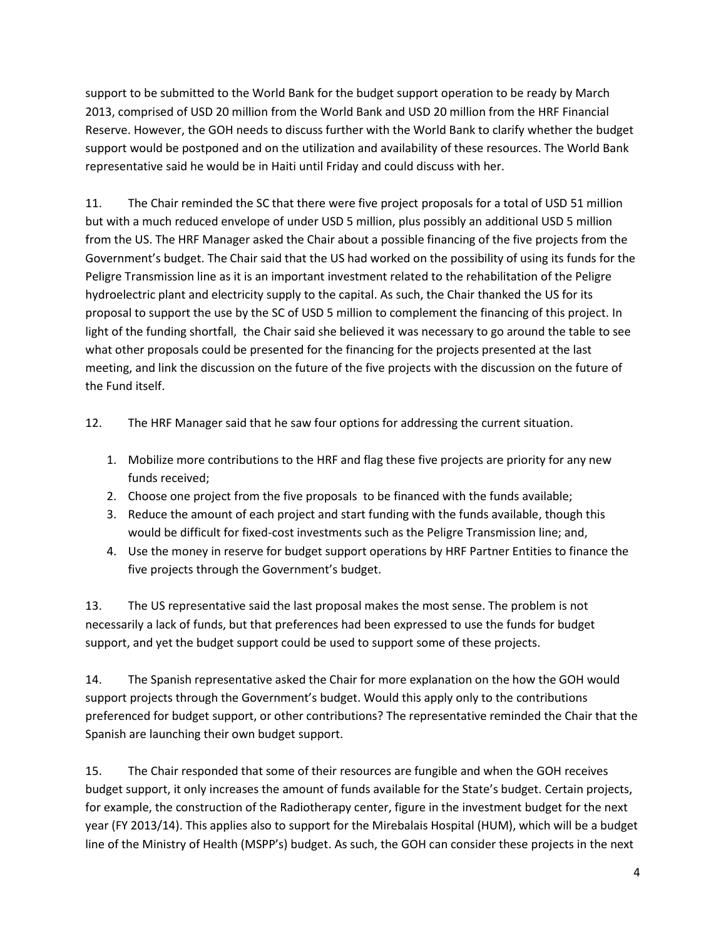support to be submitted to the World Bank for the budget support operation to be ready by March 2013, comprised of USD 20 million from the World Bank and USD 20 million from the HRF Financial Reserve. However, the GOH needs to discuss further with the World Bank to clarify whether the budget support would be postponed and on the utilization and availability of these resources. The World Bank representative said he would be in Haiti until Friday and could discuss with her.

11. The Chair reminded the SC that there were five project proposals for a total of USD 51 million but with a much reduced envelope of under USD 5 million, plus possibly an additional USD 5 million from the US. The HRF Manager asked the Chair about a possible financing of the five projects from the Government's budget. The Chair said that the US had worked on the possibility of using its funds for the Peligre Transmission line as it is an important investment related to the rehabilitation of the Peligre hydroelectric plant and electricity supply to the capital. As such, the Chair thanked the US for its proposal to support the use by the SC of USD 5 million to complement the financing of this project. In light of the funding shortfall, the Chair said she believed it was necessary to go around the table to see what other proposals could be presented for the financing for the projects presented at the last meeting, and link the discussion on the future of the five projects with the discussion on the future of the Fund itself.

- 12. The HRF Manager said that he saw four options for addressing the current situation.
	- 1. Mobilize more contributions to the HRF and flag these five projects are priority for any new funds received;
	- 2. Choose one project from the five proposals to be financed with the funds available;
	- 3. Reduce the amount of each project and start funding with the funds available, though this would be difficult for fixed-cost investments such as the Peligre Transmission line; and,
	- 4. Use the money in reserve for budget support operations by HRF Partner Entities to finance the five projects through the Government's budget.

13. The US representative said the last proposal makes the most sense. The problem is not necessarily a lack of funds, but that preferences had been expressed to use the funds for budget support, and yet the budget support could be used to support some of these projects.

14. The Spanish representative asked the Chair for more explanation on the how the GOH would support projects through the Government's budget. Would this apply only to the contributions preferenced for budget support, or other contributions? The representative reminded the Chair that the Spanish are launching their own budget support.

15. The Chair responded that some of their resources are fungible and when the GOH receives budget support, it only increases the amount of funds available for the State's budget. Certain projects, for example, the construction of the Radiotherapy center, figure in the investment budget for the next year (FY 2013/14). This applies also to support for the Mirebalais Hospital (HUM), which will be a budget line of the Ministry of Health (MSPP's) budget. As such, the GOH can consider these projects in the next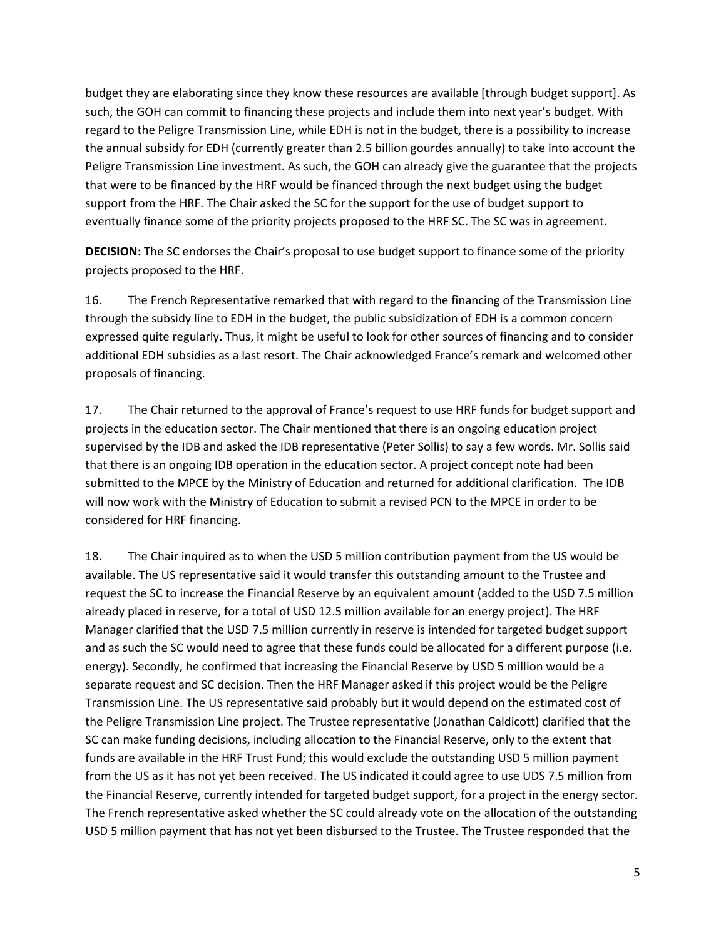budget they are elaborating since they know these resources are available [through budget support]. As such, the GOH can commit to financing these projects and include them into next year's budget. With regard to the Peligre Transmission Line, while EDH is not in the budget, there is a possibility to increase the annual subsidy for EDH (currently greater than 2.5 billion gourdes annually) to take into account the Peligre Transmission Line investment. As such, the GOH can already give the guarantee that the projects that were to be financed by the HRF would be financed through the next budget using the budget support from the HRF. The Chair asked the SC for the support for the use of budget support to eventually finance some of the priority projects proposed to the HRF SC. The SC was in agreement.

**DECISION:** The SC endorses the Chair's proposal to use budget support to finance some of the priority projects proposed to the HRF.

16. The French Representative remarked that with regard to the financing of the Transmission Line through the subsidy line to EDH in the budget, the public subsidization of EDH is a common concern expressed quite regularly. Thus, it might be useful to look for other sources of financing and to consider additional EDH subsidies as a last resort. The Chair acknowledged France's remark and welcomed other proposals of financing.

17. The Chair returned to the approval of France's request to use HRF funds for budget support and projects in the education sector. The Chair mentioned that there is an ongoing education project supervised by the IDB and asked the IDB representative (Peter Sollis) to say a few words. Mr. Sollis said that there is an ongoing IDB operation in the education sector. A project concept note had been submitted to the MPCE by the Ministry of Education and returned for additional clarification. The IDB will now work with the Ministry of Education to submit a revised PCN to the MPCE in order to be considered for HRF financing.

18. The Chair inquired as to when the USD 5 million contribution payment from the US would be available. The US representative said it would transfer this outstanding amount to the Trustee and request the SC to increase the Financial Reserve by an equivalent amount (added to the USD 7.5 million already placed in reserve, for a total of USD 12.5 million available for an energy project). The HRF Manager clarified that the USD 7.5 million currently in reserve is intended for targeted budget support and as such the SC would need to agree that these funds could be allocated for a different purpose (i.e. energy). Secondly, he confirmed that increasing the Financial Reserve by USD 5 million would be a separate request and SC decision. Then the HRF Manager asked if this project would be the Peligre Transmission Line. The US representative said probably but it would depend on the estimated cost of the Peligre Transmission Line project. The Trustee representative (Jonathan Caldicott) clarified that the SC can make funding decisions, including allocation to the Financial Reserve, only to the extent that funds are available in the HRF Trust Fund; this would exclude the outstanding USD 5 million payment from the US as it has not yet been received. The US indicated it could agree to use UDS 7.5 million from the Financial Reserve, currently intended for targeted budget support, for a project in the energy sector. The French representative asked whether the SC could already vote on the allocation of the outstanding USD 5 million payment that has not yet been disbursed to the Trustee. The Trustee responded that the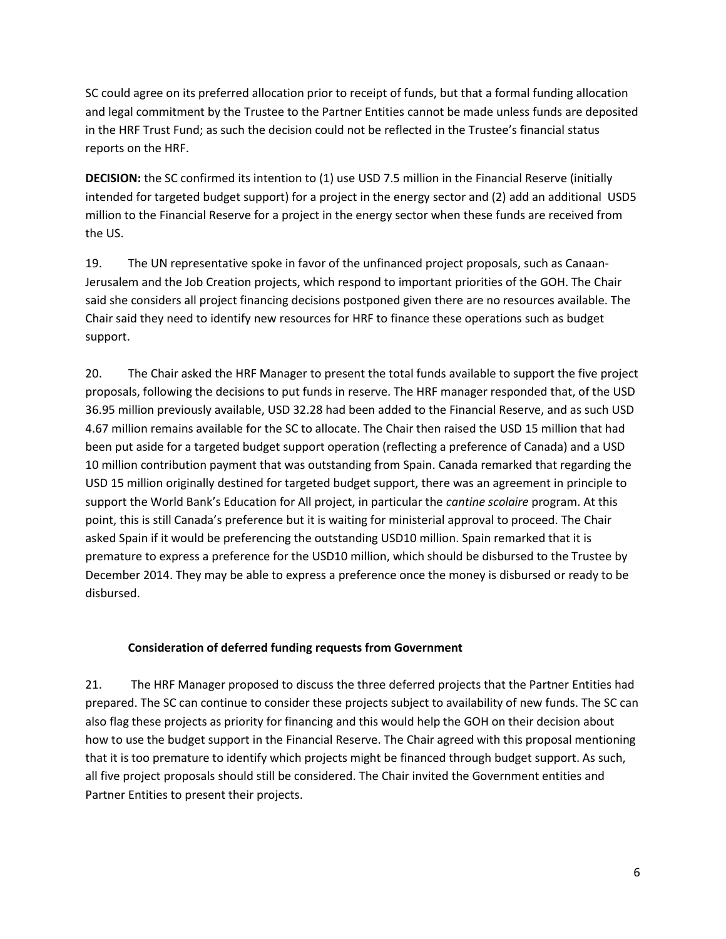SC could agree on its preferred allocation prior to receipt of funds, but that a formal funding allocation and legal commitment by the Trustee to the Partner Entities cannot be made unless funds are deposited in the HRF Trust Fund; as such the decision could not be reflected in the Trustee's financial status reports on the HRF.

**DECISION:** the SC confirmed its intention to (1) use USD 7.5 million in the Financial Reserve (initially intended for targeted budget support) for a project in the energy sector and (2) add an additional USD5 million to the Financial Reserve for a project in the energy sector when these funds are received from the US.

19. The UN representative spoke in favor of the unfinanced project proposals, such as Canaan-Jerusalem and the Job Creation projects, which respond to important priorities of the GOH. The Chair said she considers all project financing decisions postponed given there are no resources available. The Chair said they need to identify new resources for HRF to finance these operations such as budget support.

20. The Chair asked the HRF Manager to present the total funds available to support the five project proposals, following the decisions to put funds in reserve. The HRF manager responded that, of the USD 36.95 million previously available, USD 32.28 had been added to the Financial Reserve, and as such USD 4.67 million remains available for the SC to allocate. The Chair then raised the USD 15 million that had been put aside for a targeted budget support operation (reflecting a preference of Canada) and a USD 10 million contribution payment that was outstanding from Spain. Canada remarked that regarding the USD 15 million originally destined for targeted budget support, there was an agreement in principle to support the World Bank's Education for All project, in particular the *cantine scolaire* program. At this point, this is still Canada's preference but it is waiting for ministerial approval to proceed. The Chair asked Spain if it would be preferencing the outstanding USD10 million. Spain remarked that it is premature to express a preference for the USD10 million, which should be disbursed to the Trustee by December 2014. They may be able to express a preference once the money is disbursed or ready to be disbursed.

## **Consideration of deferred funding requests from Government**

21. The HRF Manager proposed to discuss the three deferred projects that the Partner Entities had prepared. The SC can continue to consider these projects subject to availability of new funds. The SC can also flag these projects as priority for financing and this would help the GOH on their decision about how to use the budget support in the Financial Reserve. The Chair agreed with this proposal mentioning that it is too premature to identify which projects might be financed through budget support. As such, all five project proposals should still be considered. The Chair invited the Government entities and Partner Entities to present their projects.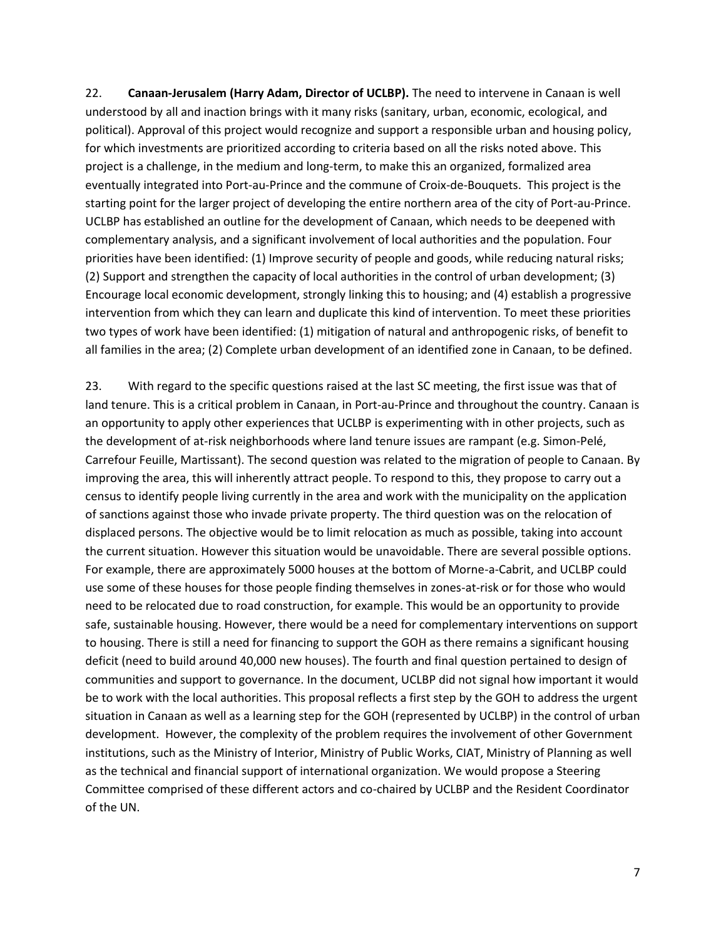22. **Canaan-Jerusalem (Harry Adam, Director of UCLBP).** The need to intervene in Canaan is well understood by all and inaction brings with it many risks (sanitary, urban, economic, ecological, and political). Approval of this project would recognize and support a responsible urban and housing policy, for which investments are prioritized according to criteria based on all the risks noted above. This project is a challenge, in the medium and long-term, to make this an organized, formalized area eventually integrated into Port-au-Prince and the commune of Croix-de-Bouquets. This project is the starting point for the larger project of developing the entire northern area of the city of Port-au-Prince. UCLBP has established an outline for the development of Canaan, which needs to be deepened with complementary analysis, and a significant involvement of local authorities and the population. Four priorities have been identified: (1) Improve security of people and goods, while reducing natural risks; (2) Support and strengthen the capacity of local authorities in the control of urban development; (3) Encourage local economic development, strongly linking this to housing; and (4) establish a progressive intervention from which they can learn and duplicate this kind of intervention. To meet these priorities two types of work have been identified: (1) mitigation of natural and anthropogenic risks, of benefit to all families in the area; (2) Complete urban development of an identified zone in Canaan, to be defined.

23. With regard to the specific questions raised at the last SC meeting, the first issue was that of land tenure. This is a critical problem in Canaan, in Port-au-Prince and throughout the country. Canaan is an opportunity to apply other experiences that UCLBP is experimenting with in other projects, such as the development of at-risk neighborhoods where land tenure issues are rampant (e.g. Simon-Pelé, Carrefour Feuille, Martissant). The second question was related to the migration of people to Canaan. By improving the area, this will inherently attract people. To respond to this, they propose to carry out a census to identify people living currently in the area and work with the municipality on the application of sanctions against those who invade private property. The third question was on the relocation of displaced persons. The objective would be to limit relocation as much as possible, taking into account the current situation. However this situation would be unavoidable. There are several possible options. For example, there are approximately 5000 houses at the bottom of Morne-a-Cabrit, and UCLBP could use some of these houses for those people finding themselves in zones-at-risk or for those who would need to be relocated due to road construction, for example. This would be an opportunity to provide safe, sustainable housing. However, there would be a need for complementary interventions on support to housing. There is still a need for financing to support the GOH as there remains a significant housing deficit (need to build around 40,000 new houses). The fourth and final question pertained to design of communities and support to governance. In the document, UCLBP did not signal how important it would be to work with the local authorities. This proposal reflects a first step by the GOH to address the urgent situation in Canaan as well as a learning step for the GOH (represented by UCLBP) in the control of urban development. However, the complexity of the problem requires the involvement of other Government institutions, such as the Ministry of Interior, Ministry of Public Works, CIAT, Ministry of Planning as well as the technical and financial support of international organization. We would propose a Steering Committee comprised of these different actors and co-chaired by UCLBP and the Resident Coordinator of the UN.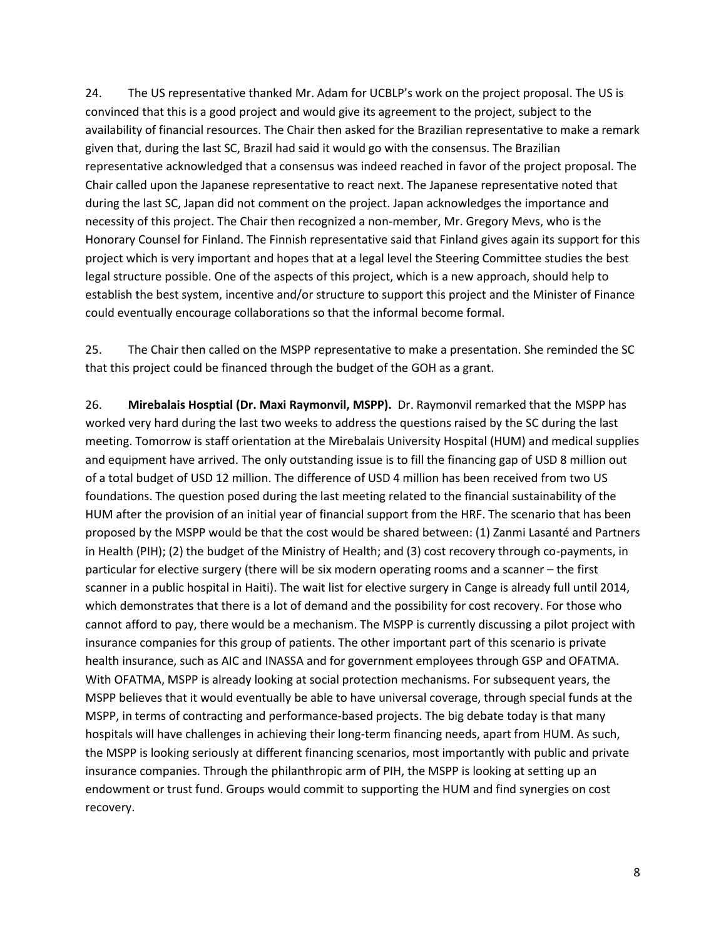24. The US representative thanked Mr. Adam for UCBLP's work on the project proposal. The US is convinced that this is a good project and would give its agreement to the project, subject to the availability of financial resources. The Chair then asked for the Brazilian representative to make a remark given that, during the last SC, Brazil had said it would go with the consensus. The Brazilian representative acknowledged that a consensus was indeed reached in favor of the project proposal. The Chair called upon the Japanese representative to react next. The Japanese representative noted that during the last SC, Japan did not comment on the project. Japan acknowledges the importance and necessity of this project. The Chair then recognized a non-member, Mr. Gregory Mevs, who is the Honorary Counsel for Finland. The Finnish representative said that Finland gives again its support for this project which is very important and hopes that at a legal level the Steering Committee studies the best legal structure possible. One of the aspects of this project, which is a new approach, should help to establish the best system, incentive and/or structure to support this project and the Minister of Finance could eventually encourage collaborations so that the informal become formal.

25. The Chair then called on the MSPP representative to make a presentation. She reminded the SC that this project could be financed through the budget of the GOH as a grant.

26. **Mirebalais Hosptial (Dr. Maxi Raymonvil, MSPP).** Dr. Raymonvil remarked that the MSPP has worked very hard during the last two weeks to address the questions raised by the SC during the last meeting. Tomorrow is staff orientation at the Mirebalais University Hospital (HUM) and medical supplies and equipment have arrived. The only outstanding issue is to fill the financing gap of USD 8 million out of a total budget of USD 12 million. The difference of USD 4 million has been received from two US foundations. The question posed during the last meeting related to the financial sustainability of the HUM after the provision of an initial year of financial support from the HRF. The scenario that has been proposed by the MSPP would be that the cost would be shared between: (1) Zanmi Lasanté and Partners in Health (PIH); (2) the budget of the Ministry of Health; and (3) cost recovery through co-payments, in particular for elective surgery (there will be six modern operating rooms and a scanner – the first scanner in a public hospital in Haiti). The wait list for elective surgery in Cange is already full until 2014, which demonstrates that there is a lot of demand and the possibility for cost recovery. For those who cannot afford to pay, there would be a mechanism. The MSPP is currently discussing a pilot project with insurance companies for this group of patients. The other important part of this scenario is private health insurance, such as AIC and INASSA and for government employees through GSP and OFATMA. With OFATMA, MSPP is already looking at social protection mechanisms. For subsequent years, the MSPP believes that it would eventually be able to have universal coverage, through special funds at the MSPP, in terms of contracting and performance-based projects. The big debate today is that many hospitals will have challenges in achieving their long-term financing needs, apart from HUM. As such, the MSPP is looking seriously at different financing scenarios, most importantly with public and private insurance companies. Through the philanthropic arm of PIH, the MSPP is looking at setting up an endowment or trust fund. Groups would commit to supporting the HUM and find synergies on cost recovery.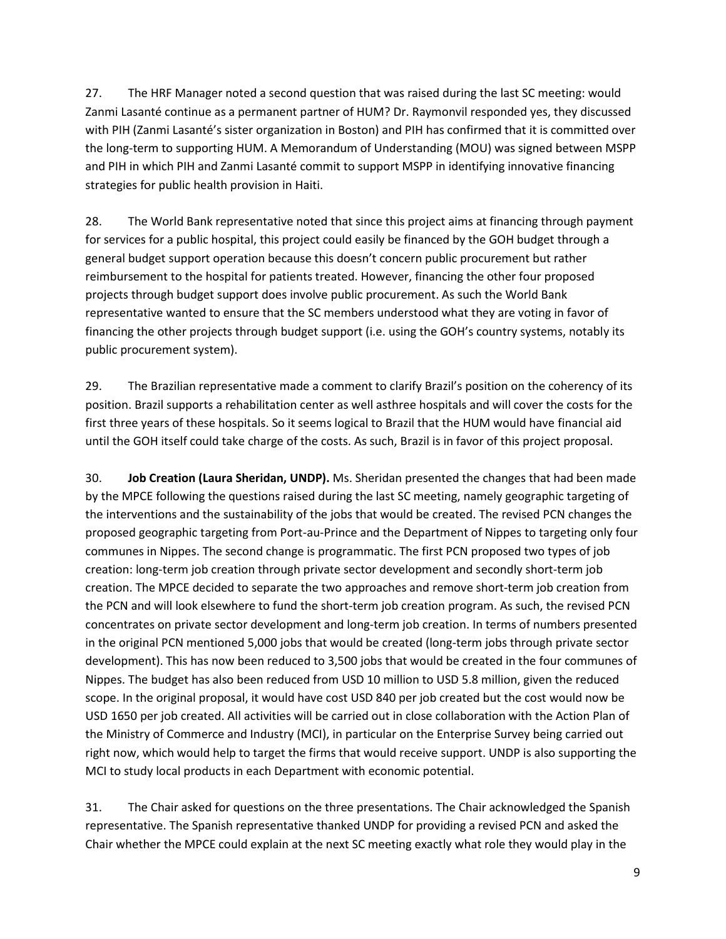27. The HRF Manager noted a second question that was raised during the last SC meeting: would Zanmi Lasanté continue as a permanent partner of HUM? Dr. Raymonvil responded yes, they discussed with PIH (Zanmi Lasanté's sister organization in Boston) and PIH has confirmed that it is committed over the long-term to supporting HUM. A Memorandum of Understanding (MOU) was signed between MSPP and PIH in which PIH and Zanmi Lasanté commit to support MSPP in identifying innovative financing strategies for public health provision in Haiti.

28. The World Bank representative noted that since this project aims at financing through payment for services for a public hospital, this project could easily be financed by the GOH budget through a general budget support operation because this doesn't concern public procurement but rather reimbursement to the hospital for patients treated. However, financing the other four proposed projects through budget support does involve public procurement. As such the World Bank representative wanted to ensure that the SC members understood what they are voting in favor of financing the other projects through budget support (i.e. using the GOH's country systems, notably its public procurement system).

29. The Brazilian representative made a comment to clarify Brazil's position on the coherency of its position. Brazil supports a rehabilitation center as well asthree hospitals and will cover the costs for the first three years of these hospitals. So it seems logical to Brazil that the HUM would have financial aid until the GOH itself could take charge of the costs. As such, Brazil is in favor of this project proposal.

30. **Job Creation (Laura Sheridan, UNDP).** Ms. Sheridan presented the changes that had been made by the MPCE following the questions raised during the last SC meeting, namely geographic targeting of the interventions and the sustainability of the jobs that would be created. The revised PCN changes the proposed geographic targeting from Port-au-Prince and the Department of Nippes to targeting only four communes in Nippes. The second change is programmatic. The first PCN proposed two types of job creation: long-term job creation through private sector development and secondly short-term job creation. The MPCE decided to separate the two approaches and remove short-term job creation from the PCN and will look elsewhere to fund the short-term job creation program. As such, the revised PCN concentrates on private sector development and long-term job creation. In terms of numbers presented in the original PCN mentioned 5,000 jobs that would be created (long-term jobs through private sector development). This has now been reduced to 3,500 jobs that would be created in the four communes of Nippes. The budget has also been reduced from USD 10 million to USD 5.8 million, given the reduced scope. In the original proposal, it would have cost USD 840 per job created but the cost would now be USD 1650 per job created. All activities will be carried out in close collaboration with the Action Plan of the Ministry of Commerce and Industry (MCI), in particular on the Enterprise Survey being carried out right now, which would help to target the firms that would receive support. UNDP is also supporting the MCI to study local products in each Department with economic potential.

31. The Chair asked for questions on the three presentations. The Chair acknowledged the Spanish representative. The Spanish representative thanked UNDP for providing a revised PCN and asked the Chair whether the MPCE could explain at the next SC meeting exactly what role they would play in the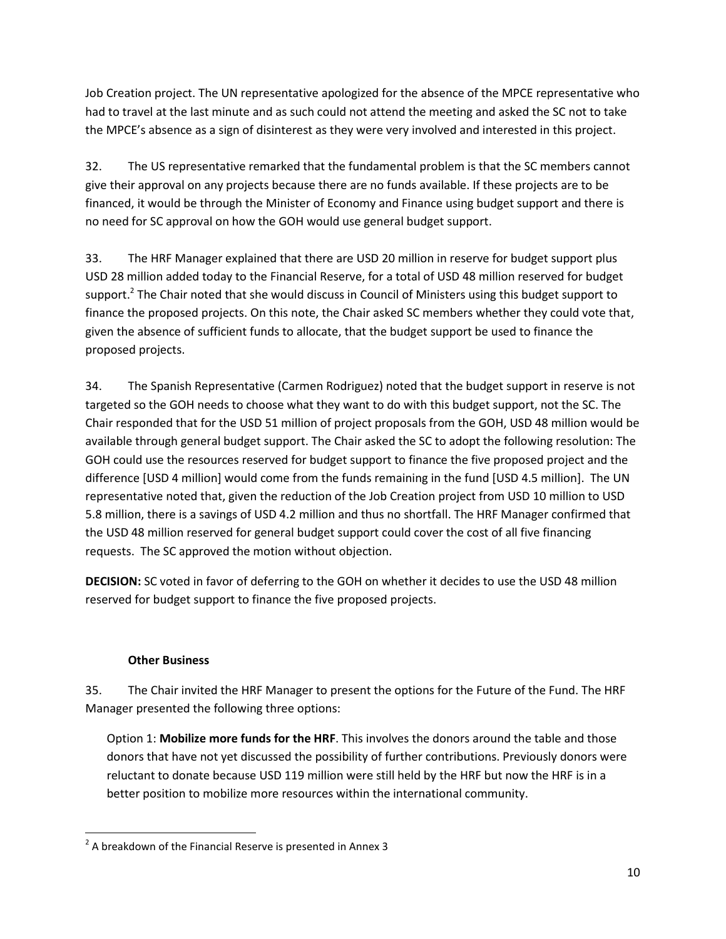Job Creation project. The UN representative apologized for the absence of the MPCE representative who had to travel at the last minute and as such could not attend the meeting and asked the SC not to take the MPCE's absence as a sign of disinterest as they were very involved and interested in this project.

32. The US representative remarked that the fundamental problem is that the SC members cannot give their approval on any projects because there are no funds available. If these projects are to be financed, it would be through the Minister of Economy and Finance using budget support and there is no need for SC approval on how the GOH would use general budget support.

33. The HRF Manager explained that there are USD 20 million in reserve for budget support plus USD 28 million added today to the Financial Reserve, for a total of USD 48 million reserved for budget support.<sup>2</sup> The Chair noted that she would discuss in Council of Ministers using this budget support to finance the proposed projects. On this note, the Chair asked SC members whether they could vote that, given the absence of sufficient funds to allocate, that the budget support be used to finance the proposed projects.

34. The Spanish Representative (Carmen Rodriguez) noted that the budget support in reserve is not targeted so the GOH needs to choose what they want to do with this budget support, not the SC. The Chair responded that for the USD 51 million of project proposals from the GOH, USD 48 million would be available through general budget support. The Chair asked the SC to adopt the following resolution: The GOH could use the resources reserved for budget support to finance the five proposed project and the difference [USD 4 million] would come from the funds remaining in the fund [USD 4.5 million]. The UN representative noted that, given the reduction of the Job Creation project from USD 10 million to USD 5.8 million, there is a savings of USD 4.2 million and thus no shortfall. The HRF Manager confirmed that the USD 48 million reserved for general budget support could cover the cost of all five financing requests. The SC approved the motion without objection.

**DECISION:** SC voted in favor of deferring to the GOH on whether it decides to use the USD 48 million reserved for budget support to finance the five proposed projects.

## **Other Business**

 $\overline{\phantom{a}}$ 

35. The Chair invited the HRF Manager to present the options for the Future of the Fund. The HRF Manager presented the following three options:

Option 1: **Mobilize more funds for the HRF**. This involves the donors around the table and those donors that have not yet discussed the possibility of further contributions. Previously donors were reluctant to donate because USD 119 million were still held by the HRF but now the HRF is in a better position to mobilize more resources within the international community.

 $2$  A breakdown of the Financial Reserve is presented in Annex 3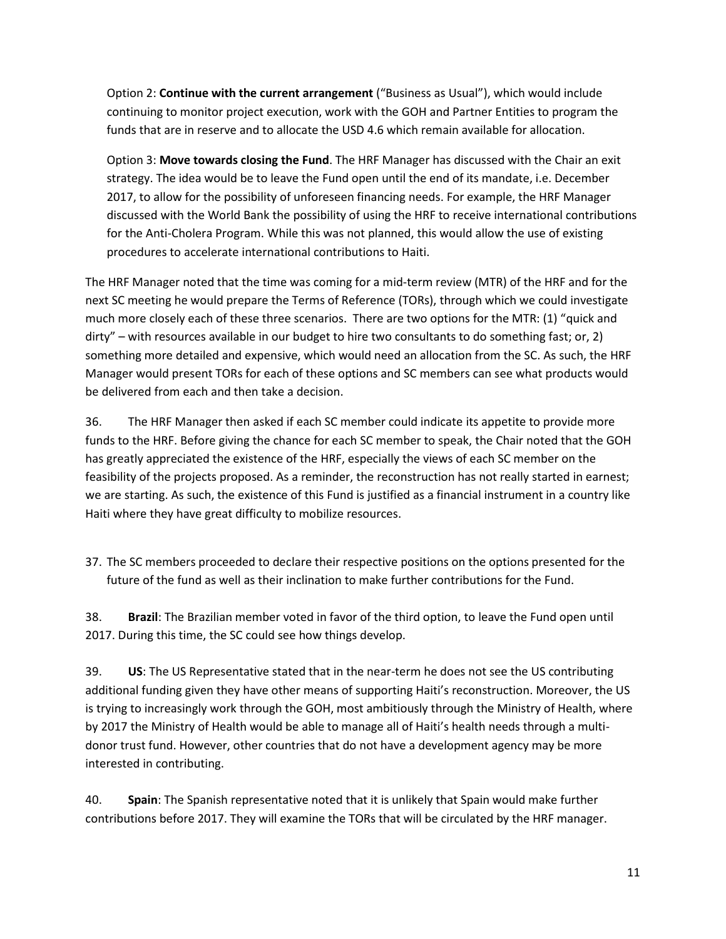Option 2: **Continue with the current arrangement** ("Business as Usual"), which would include continuing to monitor project execution, work with the GOH and Partner Entities to program the funds that are in reserve and to allocate the USD 4.6 which remain available for allocation.

Option 3: **Move towards closing the Fund**. The HRF Manager has discussed with the Chair an exit strategy. The idea would be to leave the Fund open until the end of its mandate, i.e. December 2017, to allow for the possibility of unforeseen financing needs. For example, the HRF Manager discussed with the World Bank the possibility of using the HRF to receive international contributions for the Anti-Cholera Program. While this was not planned, this would allow the use of existing procedures to accelerate international contributions to Haiti.

The HRF Manager noted that the time was coming for a mid-term review (MTR) of the HRF and for the next SC meeting he would prepare the Terms of Reference (TORs), through which we could investigate much more closely each of these three scenarios. There are two options for the MTR: (1) "quick and dirty" – with resources available in our budget to hire two consultants to do something fast; or, 2) something more detailed and expensive, which would need an allocation from the SC. As such, the HRF Manager would present TORs for each of these options and SC members can see what products would be delivered from each and then take a decision.

36. The HRF Manager then asked if each SC member could indicate its appetite to provide more funds to the HRF. Before giving the chance for each SC member to speak, the Chair noted that the GOH has greatly appreciated the existence of the HRF, especially the views of each SC member on the feasibility of the projects proposed. As a reminder, the reconstruction has not really started in earnest; we are starting. As such, the existence of this Fund is justified as a financial instrument in a country like Haiti where they have great difficulty to mobilize resources.

37. The SC members proceeded to declare their respective positions on the options presented for the future of the fund as well as their inclination to make further contributions for the Fund.

38. **Brazil**: The Brazilian member voted in favor of the third option, to leave the Fund open until 2017. During this time, the SC could see how things develop.

39. **US**: The US Representative stated that in the near-term he does not see the US contributing additional funding given they have other means of supporting Haiti's reconstruction. Moreover, the US is trying to increasingly work through the GOH, most ambitiously through the Ministry of Health, where by 2017 the Ministry of Health would be able to manage all of Haiti's health needs through a multidonor trust fund. However, other countries that do not have a development agency may be more interested in contributing.

40. **Spain**: The Spanish representative noted that it is unlikely that Spain would make further contributions before 2017. They will examine the TORs that will be circulated by the HRF manager.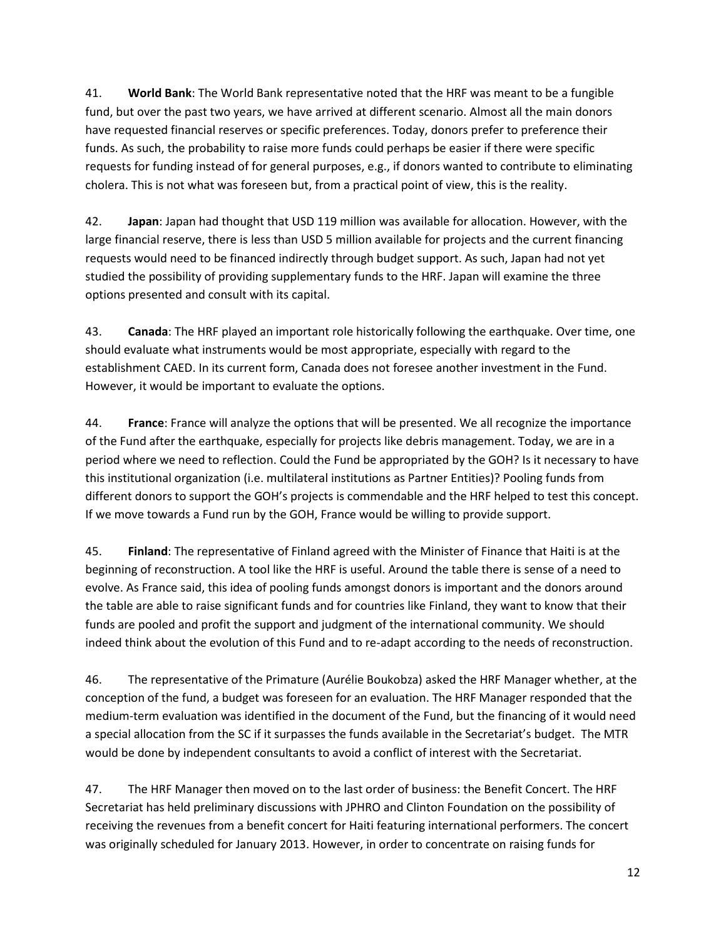41. **World Bank**: The World Bank representative noted that the HRF was meant to be a fungible fund, but over the past two years, we have arrived at different scenario. Almost all the main donors have requested financial reserves or specific preferences. Today, donors prefer to preference their funds. As such, the probability to raise more funds could perhaps be easier if there were specific requests for funding instead of for general purposes, e.g., if donors wanted to contribute to eliminating cholera. This is not what was foreseen but, from a practical point of view, this is the reality.

42. **Japan**: Japan had thought that USD 119 million was available for allocation. However, with the large financial reserve, there is less than USD 5 million available for projects and the current financing requests would need to be financed indirectly through budget support. As such, Japan had not yet studied the possibility of providing supplementary funds to the HRF. Japan will examine the three options presented and consult with its capital.

43. **Canada**: The HRF played an important role historically following the earthquake. Over time, one should evaluate what instruments would be most appropriate, especially with regard to the establishment CAED. In its current form, Canada does not foresee another investment in the Fund. However, it would be important to evaluate the options.

44. **France**: France will analyze the options that will be presented. We all recognize the importance of the Fund after the earthquake, especially for projects like debris management. Today, we are in a period where we need to reflection. Could the Fund be appropriated by the GOH? Is it necessary to have this institutional organization (i.e. multilateral institutions as Partner Entities)? Pooling funds from different donors to support the GOH's projects is commendable and the HRF helped to test this concept. If we move towards a Fund run by the GOH, France would be willing to provide support.

45. **Finland**: The representative of Finland agreed with the Minister of Finance that Haiti is at the beginning of reconstruction. A tool like the HRF is useful. Around the table there is sense of a need to evolve. As France said, this idea of pooling funds amongst donors is important and the donors around the table are able to raise significant funds and for countries like Finland, they want to know that their funds are pooled and profit the support and judgment of the international community. We should indeed think about the evolution of this Fund and to re-adapt according to the needs of reconstruction.

46. The representative of the Primature (Aurélie Boukobza) asked the HRF Manager whether, at the conception of the fund, a budget was foreseen for an evaluation. The HRF Manager responded that the medium-term evaluation was identified in the document of the Fund, but the financing of it would need a special allocation from the SC if it surpasses the funds available in the Secretariat's budget. The MTR would be done by independent consultants to avoid a conflict of interest with the Secretariat.

47. The HRF Manager then moved on to the last order of business: the Benefit Concert. The HRF Secretariat has held preliminary discussions with JPHRO and Clinton Foundation on the possibility of receiving the revenues from a benefit concert for Haiti featuring international performers. The concert was originally scheduled for January 2013. However, in order to concentrate on raising funds for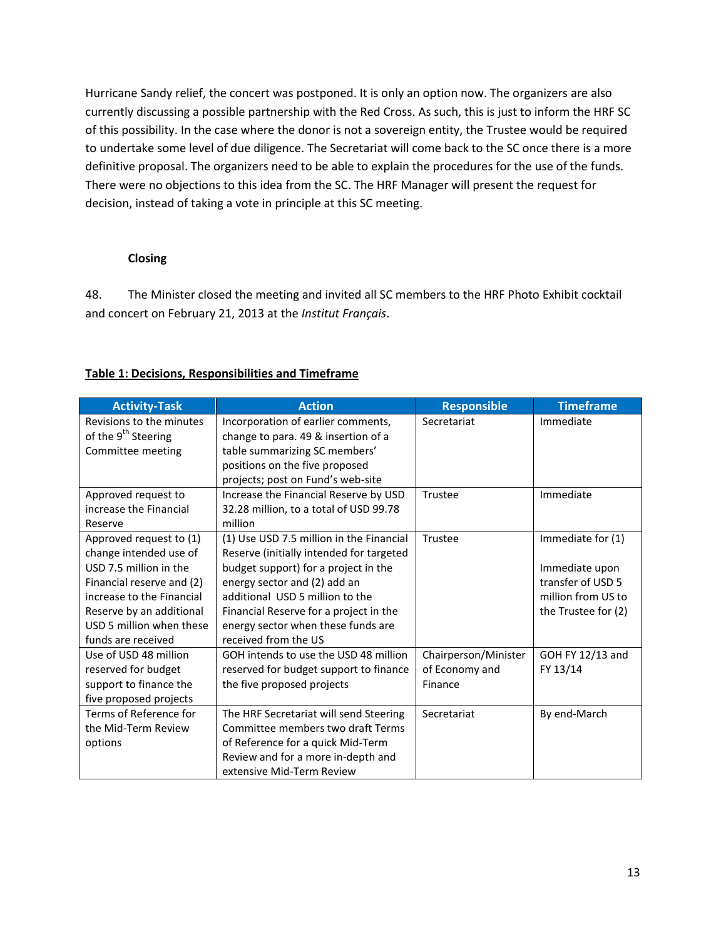Hurricane Sandy relief, the concert was postponed. It is only an option now. The organizers are also currently discussing a possible partnership with the Red Cross. As such, this is just to inform the HRF SC of this possibility. In the case where the donor is not a sovereign entity, the Trustee would be required to undertake some level of due diligence. The Secretariat will come back to the SC once there is a more definitive proposal. The organizers need to be able to explain the procedures for the use of the funds. There were no objections to this idea from the SC. The HRF Manager will present the request for decision, instead of taking a vote in principle at this SC meeting.

### **Closing**

48. The Minister closed the meeting and invited all SC members to the HRF Photo Exhibit cocktail and concert on February 21, 2013 at the *Institut Français*.

| <b>Activity-Task</b>            | <b>Action</b>                            | <b>Responsible</b>   | <b>Timeframe</b>    |
|---------------------------------|------------------------------------------|----------------------|---------------------|
| Revisions to the minutes        | Incorporation of earlier comments,       | Secretariat          | Immediate           |
| of the 9 <sup>th</sup> Steering | change to para. 49 & insertion of a      |                      |                     |
| Committee meeting               | table summarizing SC members'            |                      |                     |
|                                 | positions on the five proposed           |                      |                     |
|                                 | projects; post on Fund's web-site        |                      |                     |
| Approved request to             | Increase the Financial Reserve by USD    | Trustee              | Immediate           |
| increase the Financial          | 32.28 million, to a total of USD 99.78   |                      |                     |
| Reserve                         | million                                  |                      |                     |
| Approved request to (1)         | (1) Use USD 7.5 million in the Financial | Trustee              | Immediate for (1)   |
| change intended use of          | Reserve (initially intended for targeted |                      |                     |
| USD 7.5 million in the          | budget support) for a project in the     |                      | Immediate upon      |
| Financial reserve and (2)       | energy sector and (2) add an             |                      | transfer of USD 5   |
| increase to the Financial       | additional USD 5 million to the          |                      | million from US to  |
| Reserve by an additional        | Financial Reserve for a project in the   |                      | the Trustee for (2) |
| USD 5 million when these        | energy sector when these funds are       |                      |                     |
| funds are received              | received from the US                     |                      |                     |
| Use of USD 48 million           | GOH intends to use the USD 48 million    | Chairperson/Minister | GOH FY 12/13 and    |
| reserved for budget             | reserved for budget support to finance   | of Economy and       | FY 13/14            |
| support to finance the          | the five proposed projects               | Finance              |                     |
| five proposed projects          |                                          |                      |                     |
| Terms of Reference for          | The HRF Secretariat will send Steering   | Secretariat          | By end-March        |
| the Mid-Term Review             | Committee members two draft Terms        |                      |                     |
| options                         | of Reference for a quick Mid-Term        |                      |                     |
|                                 | Review and for a more in-depth and       |                      |                     |
|                                 | extensive Mid-Term Review                |                      |                     |

## **Table 1: Decisions, Responsibilities and Timeframe**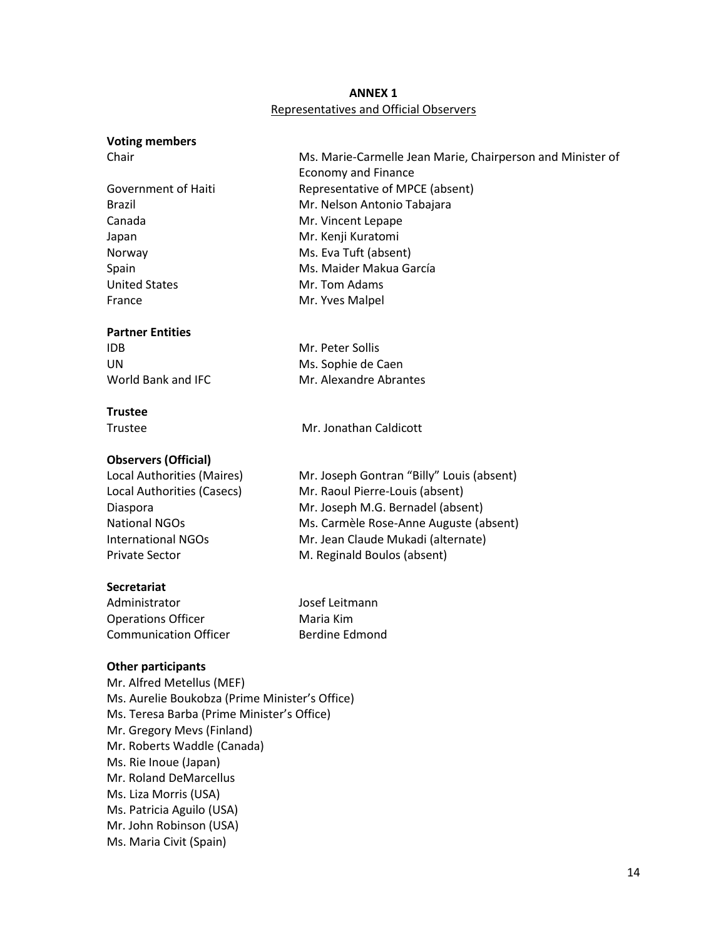## **ANNEX 1** Representatives and Official Observers

#### **Voting members**

Japan Mr. Kenji Kuratomi United States Mr. Tom Adams France Mr. Yves Malpel

### **Partner Entities**

IDB Mr. Peter Sollis

## **Trustee**

Trustee Mr. Jonathan Caldicott

## **Observers (Official)**

Private Sector **M. Reginald Boulos (absent)** 

## **Secretariat**

Administrator **Manual Strategier Manual Administrator** Josef Leitmann Operations Officer **Maria Kim** Communication Officer **Berdine Edmond** 

## **Other participants**

Mr. Alfred Metellus (MEF) Ms. Aurelie Boukobza (Prime Minister's Office) Ms. Teresa Barba (Prime Minister's Office) Mr. Gregory Mevs (Finland) Mr. Roberts Waddle (Canada) Ms. Rie Inoue (Japan) Mr. Roland DeMarcellus Ms. Liza Morris (USA) Ms. Patricia Aguilo (USA) Mr. John Robinson (USA) Ms. Maria Civit (Spain)

Chair Ms. Marie-Carmelle Jean Marie, Chairperson and Minister of Economy and Finance Government of Haiti Representative of MPCE (absent) Brazil Mr. Nelson Antonio Tabajara Canada Mr. Vincent Lepape Norway Ms. Eva Tuft (absent) Spain Ms. Maider Makua García

UN Ms. Sophie de Caen World Bank and IFC Mr. Alexandre Abrantes

Local Authorities (Maires) Mr. Joseph Gontran "Billy" Louis (absent) Local Authorities (Casecs) Mr. Raoul Pierre-Louis (absent) Diaspora Mr. Joseph M.G. Bernadel (absent) National NGOs Ms. Carmèle Rose-Anne Auguste (absent) International NGOs Mr. Jean Claude Mukadi (alternate)

14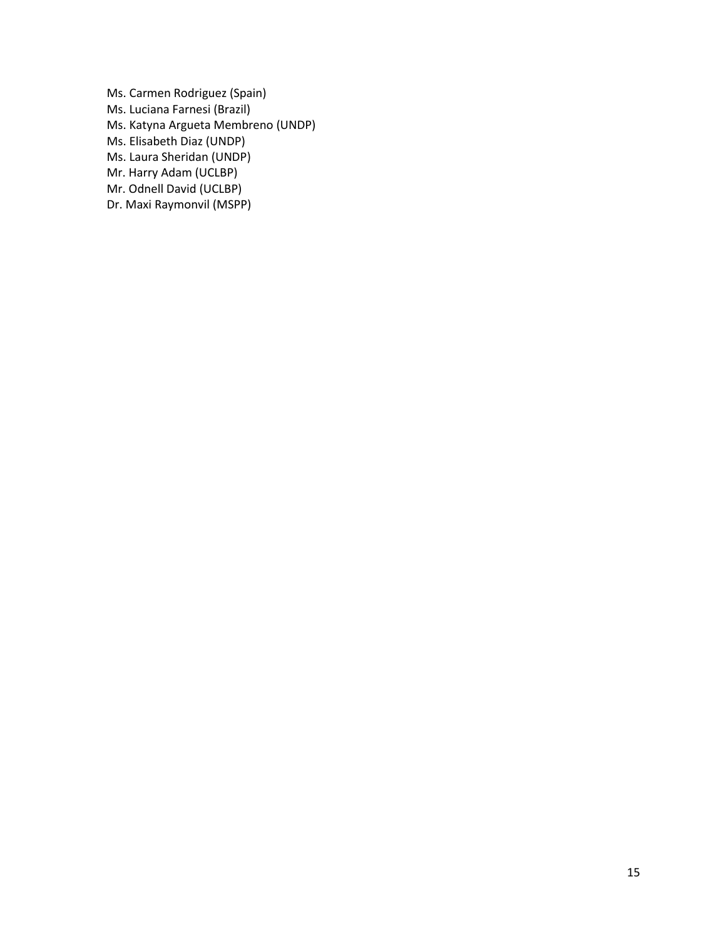Ms. Carmen Rodriguez (Spain) Ms. Luciana Farnesi (Brazil) Ms. Katyna Argueta Membreno (UNDP) Ms. Elisabeth Diaz (UNDP) Ms. Laura Sheridan (UNDP) Mr. Harry Adam (UCLBP) Mr. Odnell David (UCLBP) Dr. Maxi Raymonvil (MSPP)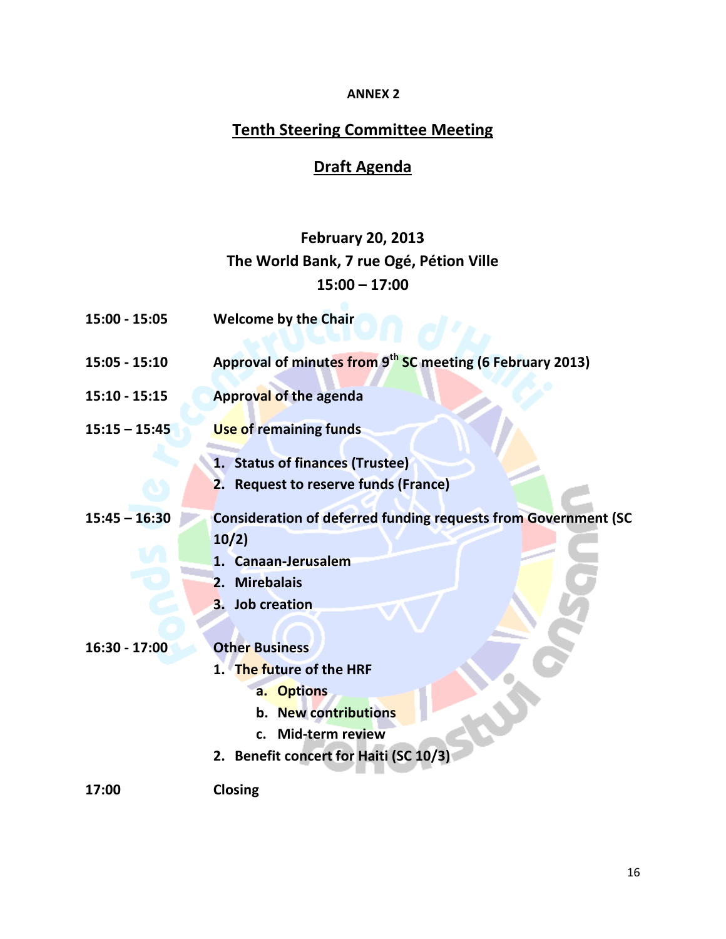# **ANNEX 2**

# **Tenth Steering Committee Meeting**

# **Draft Agenda**

# **February 20, 2013 The World Bank, 7 rue Ogé, Pétion Ville 15:00 – 17:00**

| $15:00 - 15:05$ | <b>Welcome by the Chair</b>                                                          |
|-----------------|--------------------------------------------------------------------------------------|
| $15:05 - 15:10$ | Approval of minutes from 9 <sup>th</sup> SC meeting (6 February 2013)                |
| $15:10 - 15:15$ | <b>Approval of the agenda</b>                                                        |
| $15:15 - 15:45$ | <b>Use of remaining funds</b>                                                        |
|                 | 1. Status of finances (Trustee)<br>2. Request to reserve funds (France)              |
| $15:45 - 16:30$ | <b>Consideration of deferred funding requests from Government (SC</b><br>10/2)       |
|                 | 1. Canaan-Jerusalem<br>2. Mirebalais                                                 |
| $16:30 - 17:00$ | 3. Job creation<br><b>Other Business</b>                                             |
|                 | 1. The future of the HRF<br>a. Options<br>b. New contributions<br>c. Mid-term review |
|                 | 2. Benefit concert for Haiti (SC 10/3)                                               |
| 17:00           | Closing                                                                              |